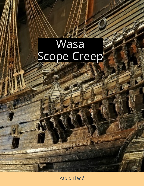# Wasa<br>Scope Creep

Pablo Lledó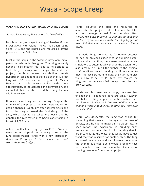# Wasa - Scope Creep

#### WASA AND SCOPE CREEP – BASED ON A TRUE STORY

#### Author: Pablo Lledó; Translation: Dr. David Hillson

Four hundred years ago, the king of Sweden, Gustav II, was at war with Poland. The war had been raging since 1618, and the king's plans required a strong presence in the Baltic Sea.

Most of the ships in the Swedish navy were small patrol vessels with few guns. The King urgently needed to strengthen his fleet, so he decided to build larger heavily-armed ships. To lead this project, he hired master ship-builder Henrik Hybertsson, tasking him to build a gunship 108 feet long with 32 cannons on the gundeck. Master Henrik had built several ships with those specifications, so he accepted the commission, and estimated that the ship would be ready for war within two years.

However, something seemed wrong. Despite the urgency of the project, the King kept requesting design changes. Eventually, after several twists and turns, the King approved the final design of the ship, which was to be called the Wasa, and he donated the raw material to begin construction: a forest of 1,000 oaks.

A few months later, tragedy struck! The Swedish navy lost ten ships during a heavy storm, so the King called Master Henrik with a new instruction: worry about the budget. Accelerate the project to finish sooner, and don't Henrik adjusted the plan and resources to accelerate the project, but a few months later another message arrived from the King: Dear Henrik, I've been thinking. In addition to speeding up the project, you must make the ship bigger, at least 120 feet long, so it can carry more military cargo.

This made things complicated for Henrik, because he had no previous experience of building bigger ships, and at that time, there were no mathematical simulators to automatically enlarge the design. He'd also already cut up all the timber to the original size! Henrik convinced the King that if he wanted to meet the accelerated end date, the maximum size would have to be just 111 feet. Even though the King was not very satisfied, he approved the new project scope.

Henrik and his team were happy because they finished the 111-foot keel in record time. However, his beloved King appeared with another new requirement: In Denmark they are building <sup>a</sup> larger . to be like that ship and it has <sup>a</sup> double row of guns, so I want ours

Henrik was desperate, the King was asking for something that seemed to be against the laws of physics, and he had no materials, no blueprints, no specifications, no experience in building such vessels, and no time. Henrik told the King that in order to enlarge the Wasa, they would have to use wood that was reserved for another ship. The King approved the change, and Henrik agreed to enlarge the ship to 135 feet. But it would probably have been simpler to cut down a new forest instead of stealing resources from another project.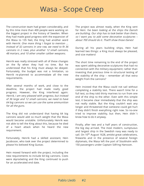### Wasa - Scope Creep

The construction team had grown considerably, and by this time more than 400 people were working on the biggest project in the history of Sweden. When they had made good progress with the expansion of the Wasa to 135 feet, the King had another word with Henrik: One more thing I forgot to mention ... Instead of 32 cannons in one row, we need to fit 36 cannons in 2 rows, plus another 12 small cannons, 48 mortars, and 10 other smaller caliber weapons.

Henrik was really stressed with all of these changes on the fly when they had no time. But he understood that his King must always be obeyed. Fortunately, the budget was not a limitation, so Henrik re-planned to accommodate all the new requirements.

After several months of work, and close to the deadline, the project had made really good progress. However, the King interfered again: Henrik, I am very pleased with progress, but instead of 36 large and 12 small cannons, we need to have 64 big cannons so we can use the same ammunition for all the guns.

The King did not understand that having 64 big cannons would add so much weight that the Wasa would become unstable. Unfortunately Henrik was not able to tell the King about this, because he died of a heart attack when he heard the new requirement.

Fortunately, Henrik had a skilled assistant, Hein Jacobsson, who took over the project determined to please his beloved King Gustav.

Hein moved forward with the project, including the new requirements to include 64 big cannons. Costs were skyrocketing and the King continued to push for an accelerated end date.

The project was almost ready, when the King sent for Hein: I've been looking at the ships the Danish are building. Our ship has to look better than theirs, so I want you to add some decorative sculptures – about 700 should do it. That'll show those Danes!

During all his years building ships, Hein had learned two things: a King must always be pleased, and size matters!

The short time remaining to the end of the project was spent adding decorative sculptures that had no connection with the military equipment; rather than investing that precious time in structural testing of the stability of the ship – remember all that extra weight from the cannons?

Hein insisted that the Wasa could not sail without completing a stability test. There wasn't time for a full test, so they told thirty marines to run from one end of the ship to the other. Even with this simple test, it became clear immediately that the ship was not really stable. But the King couldn't wait any longer and threatened that someone could get hurt if they didn't finish everything right now. So no-one tried to improve stability, but then, Hein didn´t know how to do it anyway.

Finally, after two and a half years of construction, the big day arrived. The most modern, sumptuous and largest ship in the Swedish navy was ready to sail. On 10<sup>th</sup> August 1628, amidst great celebrations, fireworks and in the presence of several foreign diplomats, the Wasa left the port of Stockholm with 150 passengers under Captain Söfring Hansson.